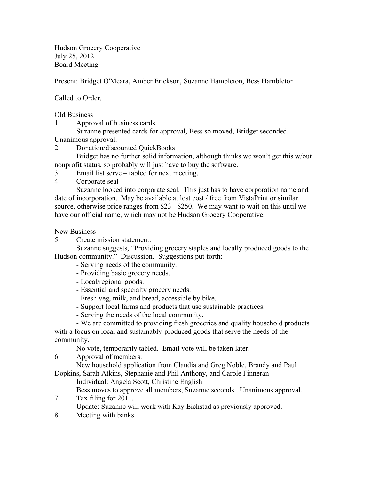Hudson Grocery Cooperative July 25, 2012 Board Meeting

Present: Bridget O'Meara, Amber Erickson, Suzanne Hambleton, Bess Hambleton

Called to Order.

Old Business

1. Approval of business cards

Suzanne presented cards for approval, Bess so moved, Bridget seconded. Unanimous approval.

2. Donation/discounted QuickBooks

Bridget has no further solid information, although thinks we won't get this w/out nonprofit status, so probably will just have to buy the software.

- 3. Email list serve tabled for next meeting.
- 4. Corporate seal

Suzanne looked into corporate seal. This just has to have corporation name and date of incorporation. May be available at lost cost / free from VistaPrint or similar source, otherwise price ranges from \$23 - \$250. We may want to wait on this until we have our official name, which may not be Hudson Grocery Cooperative.

New Business

5. Create mission statement.

Suzanne suggests, "Providing grocery staples and locally produced goods to the Hudson community." Discussion. Suggestions put forth:

- Serving needs of the community.
- Providing basic grocery needs.
- Local/regional goods.
- Essential and specialty grocery needs.
- Fresh veg, milk, and bread, accessible by bike.
- Support local farms and products that use sustainable practices.
- Serving the needs of the local community.
- We are committed to providing fresh groceries and quality household products with a focus on local and sustainably-produced goods that serve the needs of the

community.

No vote, temporarily tabled. Email vote will be taken later.

6. Approval of members:

New household application from Claudia and Greg Noble, Brandy and Paul Dopkins, Sarah Atkins, Stephanie and Phil Anthony, and Carole Finneran

Individual: Angela Scott, Christine English

Bess moves to approve all members, Suzanne seconds. Unanimous approval.

- 7. Tax filing for 2011. Update: Suzanne will work with Kay Eichstad as previously approved.
- 8. Meeting with banks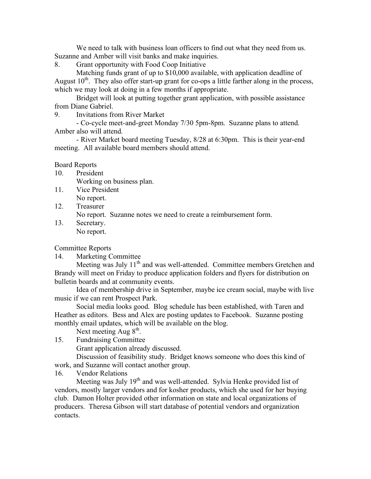We need to talk with business loan officers to find out what they need from us. Suzanne and Amber will visit banks and make inquiries.

8. Grant opportunity with Food Coop Initiative

Matching funds grant of up to \$10,000 available, with application deadline of August  $10<sup>th</sup>$ . They also offer start-up grant for co-ops a little farther along in the process, which we may look at doing in a few months if appropriate.

Bridget will look at putting together grant application, with possible assistance from Diane Gabriel.

9. Invitations from River Market

- Co-cycle meet-and-greet Monday 7/30 5pm-8pm. Suzanne plans to attend. Amber also will attend.

- River Market board meeting Tuesday, 8/28 at 6:30pm. This is their year-end meeting. All available board members should attend.

## Board Reports

10. President Working on business plan.

- 11. Vice President No report.
- 12. Treasurer

No report. Suzanne notes we need to create a reimbursement form.

13. Secretary. No report.

Committee Reports

14. Marketing Committee

Meeting was July 11<sup>th</sup> and was well-attended. Committee members Gretchen and Brandy will meet on Friday to produce application folders and flyers for distribution on bulletin boards and at community events.

Idea of membership drive in September, maybe ice cream social, maybe with live music if we can rent Prospect Park.

Social media looks good. Blog schedule has been established, with Taren and Heather as editors. Bess and Alex are posting updates to Facebook. Suzanne posting monthly email updates, which will be available on the blog.

Next meeting Aug  $8<sup>th</sup>$ .

15. Fundraising Committee

Grant application already discussed.

Discussion of feasibility study. Bridget knows someone who does this kind of work, and Suzanne will contact another group.

16. Vendor Relations

Meeting was July 19<sup>th</sup> and was well-attended. Sylvia Henke provided list of vendors, mostly larger vendors and for kosher products, which she used for her buying club. Damon Holter provided other information on state and local organizations of producers. Theresa Gibson will start database of potential vendors and organization contacts.